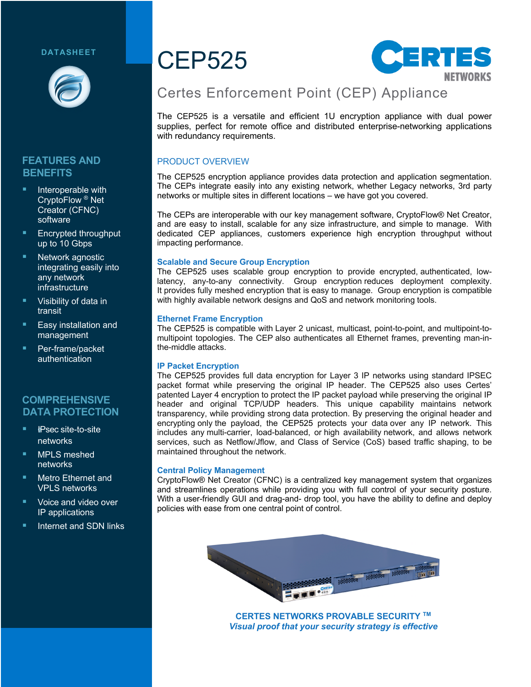#### **DATASHEET**



### **FEATURES AND BENEFITS**

- Interoperable with CryptoFlow ® Net Creator (CFNC) software
- § Encrypted throughput up to 10 Gbps
- Network agnostic integrating easily into any network infrastructure
- § Visibility of data in transit
- § Easy installation and management
- § Per-frame/packet authentication

#### **COMPREHENSIVE DATA PROTECTION**

- § !*I*IPsec site-to-site networks
- § MPLS meshed networks
- § Metro Ethernet and VPLS networks
- § Voice and video over IP applications
- § Internet and SDN links

# CEP525



# Certes Enforcement Point (CEP) Appliance

The CEP525 is a versatile and efficient 1U encryption appliance with dual power supplies, perfect for remote office and distributed enterprise-networking applications with redundancy requirements.

#### PRODUCT OVERVIEW

The CEP525 encryption appliance provides data protection and application segmentation. The CEPs integrate easily into any existing network, whether Legacy networks, 3rd party networks or multiple sites in different locations – we have got you covered.

The CEPs are interoperable with our key management software, CryptoFlow® Net Creator, and are easy to install, scalable for any size infrastructure, and simple to manage. With dedicated CEP appliances, customers experience high encryption throughput without impacting performance.

#### **Scalable and Secure Group Encryption**

The CEP525 uses scalable group encryption to provide encrypted, authenticated, lowlatency, any-to-any connectivity. Group encryption reduces deployment complexity. It provides fully meshed encryption that is easy to manage. Group encryption is compatible with highly available network designs and QoS and network monitoring tools.

#### **Ethernet Frame Encryption**

The CEP525 is compatible with Layer 2 unicast, multicast, point-to-point, and multipoint-tomultipoint topologies. The CEP also authenticates all Ethernet frames, preventing man-inthe-middle attacks.

#### **IP Packet Encryption**

The CEP525 provides full data encryption for Layer 3 IP networks using standard IPSEC packet format while preserving the original IP header. The CEP525 also uses Certes' patented Layer 4 encryption to protect the IP packet payload while preserving the original IP header and original TCP/UDP headers. This unique capability maintains network transparency, while providing strong data protection. By preserving the original header and encrypting only the payload, the CEP525 protects your data over any IP network. This includes any multi-carrier, load-balanced, or high availability network, and allows network services, such as Netflow/Jflow, and Class of Service (CoS) based traffic shaping, to be maintained throughout the network.

#### **Central Policy Management**

CryptoFlow® Net Creator (CFNC) is a centralized key management system that organizes and streamlines operations while providing you with full control of your security posture. With a user-friendly GUI and drag-and- drop tool, you have the ability to define and deploy policies with ease from one central point of control.



**CERTES NETWORKS PROVABLE SECURITY TM** *Visual proof that your security strategy is effective*